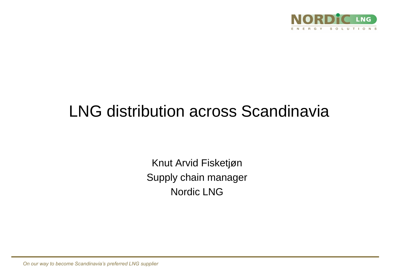

# LNG distribution across Scandinavia

Knut Arvid Fisketjøn Supply chain manager Nordic LNG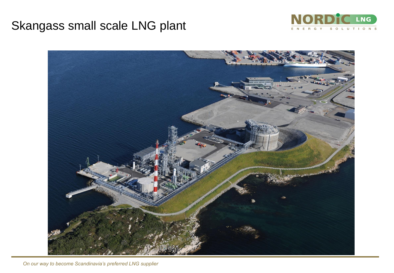### Skangass small scale LNG plant



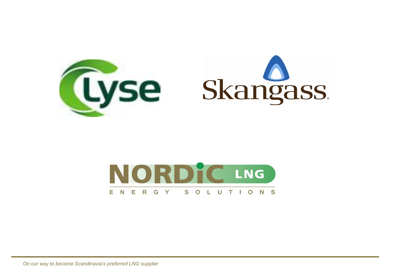

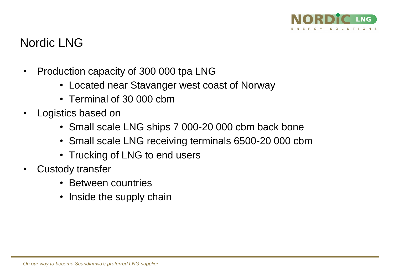

### Nordic LNG

- Production capacity of 300 000 tpa LNG
	- Located near Stavanger west coast of Norway
	- Terminal of 30 000 cbm
- Logistics based on
	- Small scale LNG ships 7 000-20 000 cbm back bone
	- Small scale LNG receiving terminals 6500-20 000 cbm
	- Trucking of LNG to end users
- Custody transfer
	- Between countries
	- Inside the supply chain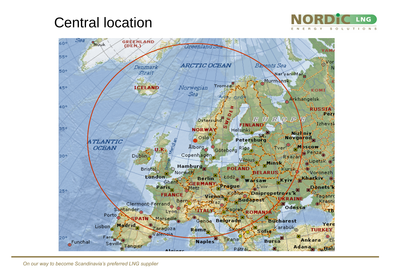## Central location



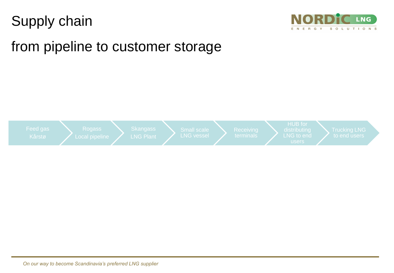## Supply chain



## from pipeline to customer storage

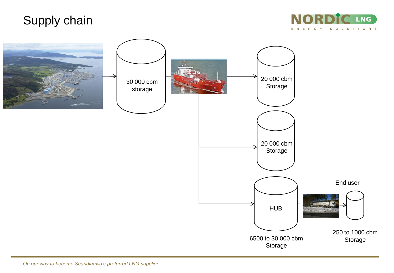### Supply chain



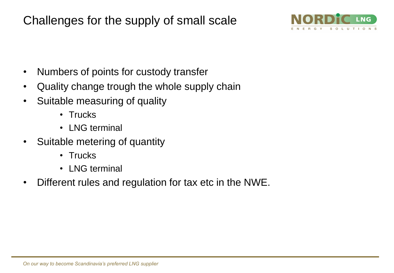Challenges for the supply of small scale



- Numbers of points for custody transfer
- Quality change trough the whole supply chain
- Suitable measuring of quality
	- Trucks
	- LNG terminal
- Suitable metering of quantity
	- Trucks
	- LNG terminal
- Different rules and regulation for tax etc in the NWE.